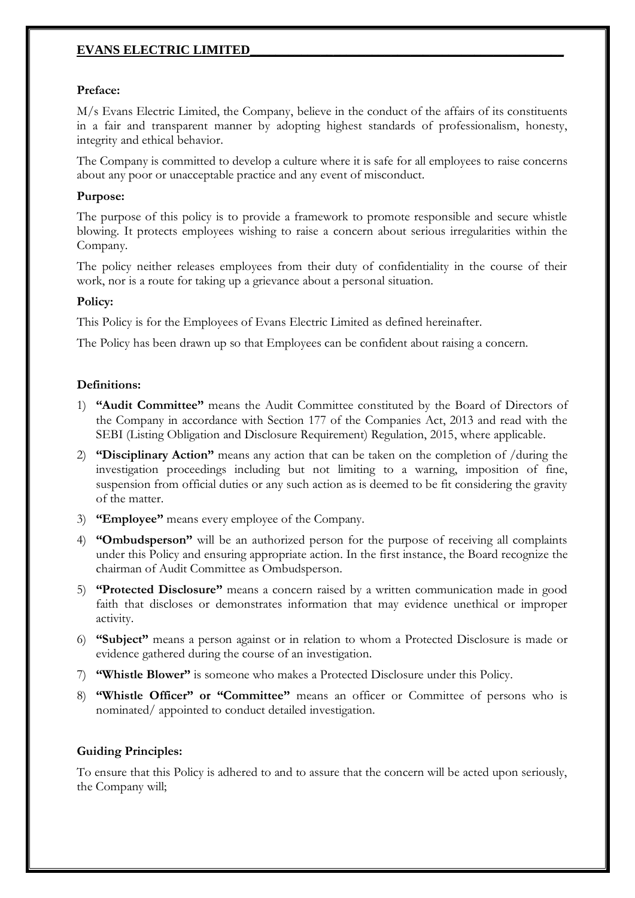### **Preface:**

M/s Evans Electric Limited, the Company, believe in the conduct of the affairs of its constituents in a fair and transparent manner by adopting highest standards of professionalism, honesty, integrity and ethical behavior.

The Company is committed to develop a culture where it is safe for all employees to raise concerns about any poor or unacceptable practice and any event of misconduct.

### **Purpose:**

The purpose of this policy is to provide a framework to promote responsible and secure whistle blowing. It protects employees wishing to raise a concern about serious irregularities within the Company.

The policy neither releases employees from their duty of confidentiality in the course of their work, nor is a route for taking up a grievance about a personal situation.

### **Policy:**

This Policy is for the Employees of Evans Electric Limited as defined hereinafter.

The Policy has been drawn up so that Employees can be confident about raising a concern.

### **Definitions:**

- 1) **"Audit Committee"** means the Audit Committee constituted by the Board of Directors of the Company in accordance with Section 177 of the Companies Act, 2013 and read with the SEBI (Listing Obligation and Disclosure Requirement) Regulation, 2015, where applicable.
- 2) **"Disciplinary Action"** means any action that can be taken on the completion of /during the investigation proceedings including but not limiting to a warning, imposition of fine, suspension from official duties or any such action as is deemed to be fit considering the gravity of the matter.
- 3) **"Employee"** means every employee of the Company.
- 4) **"Ombudsperson"** will be an authorized person for the purpose of receiving all complaints under this Policy and ensuring appropriate action. In the first instance, the Board recognize the chairman of Audit Committee as Ombudsperson.
- 5) **"Protected Disclosure"** means a concern raised by a written communication made in good faith that discloses or demonstrates information that may evidence unethical or improper activity.
- 6) **"Subject"** means a person against or in relation to whom a Protected Disclosure is made or evidence gathered during the course of an investigation.
- 7) **"Whistle Blower"** is someone who makes a Protected Disclosure under this Policy.
- 8) **"Whistle Officer" or "Committee"** means an officer or Committee of persons who is nominated/ appointed to conduct detailed investigation.

#### **Guiding Principles:**

To ensure that this Policy is adhered to and to assure that the concern will be acted upon seriously, the Company will;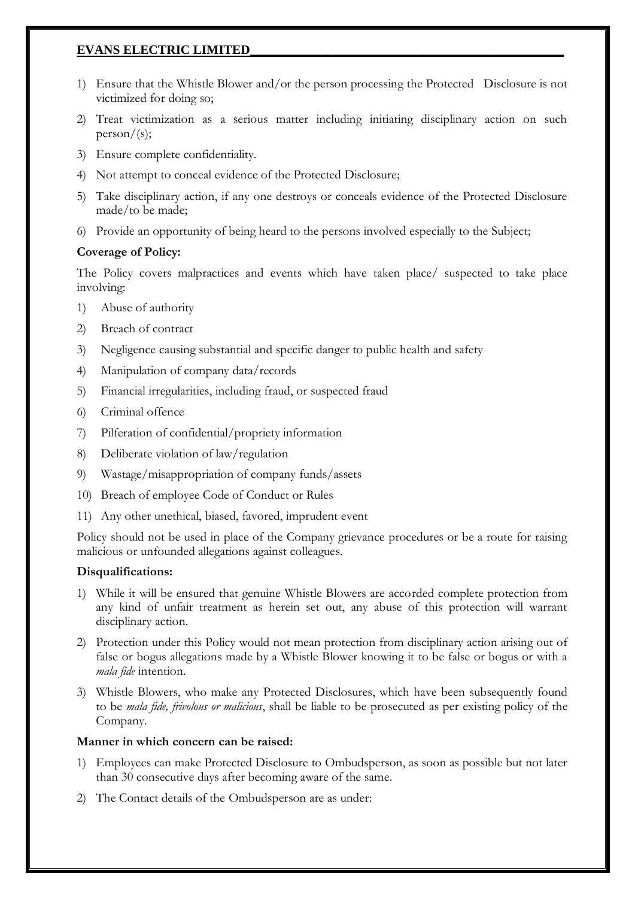- 1) Ensure that the Whistle Blower and/or the person processing the Protected Disclosure is not victimized for doing so;
- 2) Treat victimization as a serious matter including initiating disciplinary action on such  $person/(s);$
- 3) Ensure complete confidentiality.
- 4) Not attempt to conceal evidence of the Protected Disclosure;
- 5) Take disciplinary action, if any one destroys or conceals evidence of the Protected Disclosure made/to be made;
- 6) Provide an opportunity of being heard to the persons involved especially to the Subject;

# **Coverage of Policy:**

The Policy covers malpractices and events which have taken place/ suspected to take place involving:

- 1) Abuse of authority
- 2) Breach of contract
- 3) Negligence causing substantial and specific danger to public health and safety
- 4) Manipulation of company data/records
- 5) Financial irregularities, including fraud, or suspected fraud
- 6) Criminal offence
- 7) Pilferation of confidential/propriety information
- 8) Deliberate violation of law/regulation
- 9) Wastage/misappropriation of company funds/assets
- 10) Breach of employee Code of Conduct or Rules
- 11) Any other unethical, biased, favored, imprudent event

Policy should not be used in place of the Company grievance procedures or be a route for raising malicious or unfounded allegations against colleagues.

## **Disqualifications:**

- 1) While it will be ensured that genuine Whistle Blowers are accorded complete protection from any kind of unfair treatment as herein set out, any abuse of this protection will warrant disciplinary action.
- 2) Protection under this Policy would not mean protection from disciplinary action arising out of false or bogus allegations made by a Whistle Blower knowing it to be false or bogus or with a *mala fide* intention.
- 3) Whistle Blowers, who make any Protected Disclosures, which have been subsequently found to be *mala fide, frivolous or malicious*, shall be liable to be prosecuted as per existing policy of the Company.

## **Manner in which concern can be raised:**

- 1) Employees can make Protected Disclosure to Ombudsperson, as soon as possible but not later than 30 consecutive days after becoming aware of the same.
- 2) The Contact details of the Ombudsperson are as under: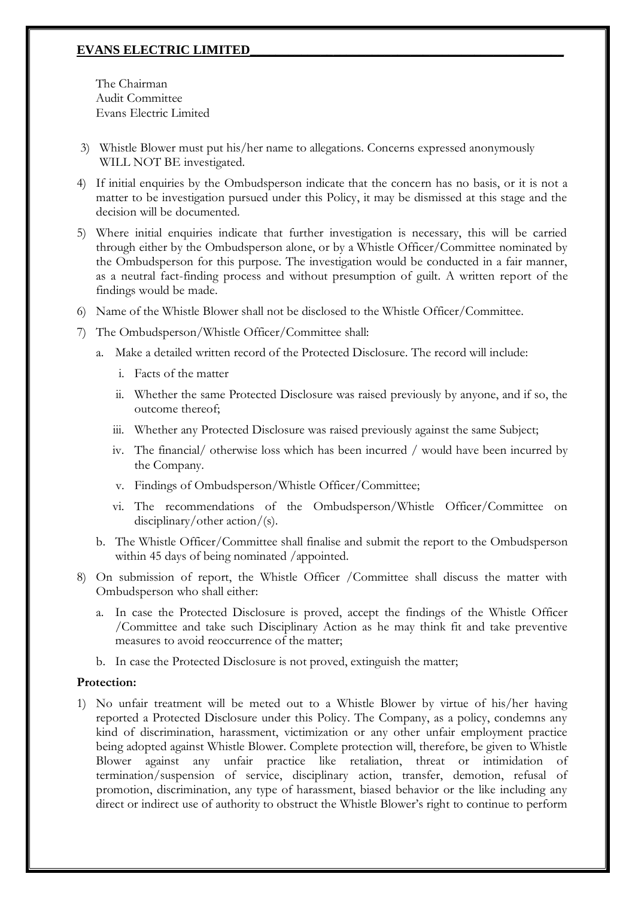The Chairman Audit Committee Evans Electric Limited

- 3) Whistle Blower must put his/her name to allegations. Concerns expressed anonymously WILL NOT BE investigated.
- 4) If initial enquiries by the Ombudsperson indicate that the concern has no basis, or it is not a matter to be investigation pursued under this Policy, it may be dismissed at this stage and the decision will be documented.
- 5) Where initial enquiries indicate that further investigation is necessary, this will be carried through either by the Ombudsperson alone, or by a Whistle Officer/Committee nominated by the Ombudsperson for this purpose. The investigation would be conducted in a fair manner, as a neutral fact-finding process and without presumption of guilt. A written report of the findings would be made.
- 6) Name of the Whistle Blower shall not be disclosed to the Whistle Officer/Committee.
- 7) The Ombudsperson/Whistle Officer/Committee shall:
	- a. Make a detailed written record of the Protected Disclosure. The record will include:
		- i. Facts of the matter
		- ii. Whether the same Protected Disclosure was raised previously by anyone, and if so, the outcome thereof;
		- iii. Whether any Protected Disclosure was raised previously against the same Subject;
		- iv. The financial/ otherwise loss which has been incurred / would have been incurred by the Company.
		- v. Findings of Ombudsperson/Whistle Officer/Committee;
		- vi. The recommendations of the Ombudsperson/Whistle Officer/Committee on disciplinary/other action/(s).
	- b. The Whistle Officer/Committee shall finalise and submit the report to the Ombudsperson within 45 days of being nominated /appointed.
- 8) On submission of report, the Whistle Officer /Committee shall discuss the matter with Ombudsperson who shall either:
	- a. In case the Protected Disclosure is proved, accept the findings of the Whistle Officer /Committee and take such Disciplinary Action as he may think fit and take preventive measures to avoid reoccurrence of the matter;
	- b. In case the Protected Disclosure is not proved, extinguish the matter;

#### **Protection:**

1) No unfair treatment will be meted out to a Whistle Blower by virtue of his/her having reported a Protected Disclosure under this Policy. The Company, as a policy, condemns any kind of discrimination, harassment, victimization or any other unfair employment practice being adopted against Whistle Blower. Complete protection will, therefore, be given to Whistle Blower against any unfair practice like retaliation, threat or intimidation of termination/suspension of service, disciplinary action, transfer, demotion, refusal of promotion, discrimination, any type of harassment, biased behavior or the like including any direct or indirect use of authority to obstruct the Whistle Blower's right to continue to perform